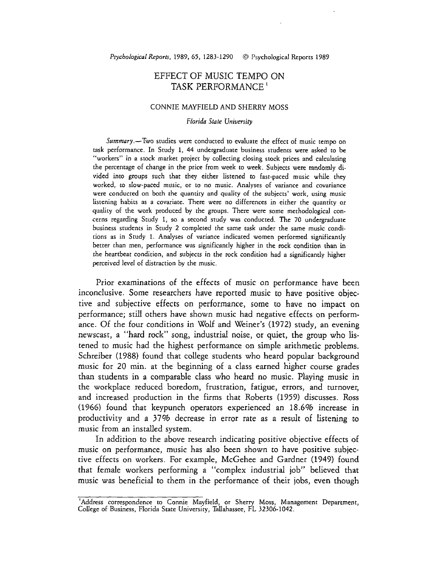# EFFECT OF MUSIC TEMPO ON TASK PERFORMANCE '

#### CONNIE MAYFIELD AND SHERRY MOSS

#### Floridn **State** University

Summary.-Two studies were conducted to evaluate the effect of music tempo on task performance. In Study **1,** 44 undergraduate business students were asked to be "workers" in a stock market project by collecting closing stock prices and calculating the percentage of change in the price from week to week. Subjects were randomly divided into groups such that they either listened to fast-paced music while **they**  worked, to slow-paced music, or to no music. Analyses of variance and covariance were conducted on both the quantity and quality of the subjects' work, using music listening habits as a covariate. There were no differences in either the quantity or quality of the work produced by the groups. There were some methodological concerns regarding Study 1, so a second study was conducted. The 70 undergraduate business students in Study 2 completed the same task under the same music conditions as in Study **1.** Analyses of variance indicated women performed significantly better than men, performance was significantly higher in the cock condition than in the heartbeat condition, and subjects in the rock condition had a significantly higher perceived level of distraction by the music.

Prior examinations of the effects of music on performance have been inconclusive. Some researchers have reported music to have positive objective and subjective effects on performance, some to have no impact on performance; still others have shown music had negative effects on performance. Of the four conditions in Wolf and Weiner's (1972) study, an evening newscast, a "hard rock" song, industrial noise, or quiet, the group who listened to music had the highest performance on simple arithmetic problems. Schreiber (1988) found that college students who heard popular background music for 20 min. at the beginning of a class earned higher course grades than students in a comparable class who heard no music. Playing music in the workplace reduced boredom, frustration, fatigue, errors, and turnover, and increased production in the firms that Roberts (1959) discusses. Ross (1966) found that keypunch operators experienced an 18.6% increase in productivity and a 37% decrease in error rate as a result of listening to music from an installed system.

In addition to the above research indicating positive objective effects of music on performance, music has also been shown to have positive subjective effects on workers. For example, McGehee and Gardner (1949) found that female workers performing a "complex industrial job" believed that music was beneficial to them in the performance of their jobs, even though

<sup>&#</sup>x27;Address correspondence to Connie Mayfield, or Sherry Moss, Management Department, College of Business, Florida State University, Tallahassee, FL 32306-1042.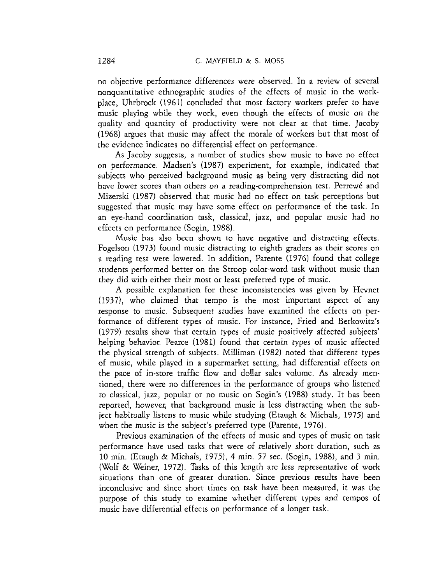no objective performance differences were observed. In a review of several nonquantitative ethnographic studies of the effects of music in the workplace, Uhrbrock (1961) concluded that most factory workers prefer to have music playing while they work, even though the effects of music on the quality and quantity of productivity were not clear at that time. Jacoby (1968) argues that music may affect the morale of workers but that most of the evidence indicates no differential effect on performance.

As Jacoby suggests, a number of studies show music to have no effect on performance. Madsen's (1987) experiment, for example, indicated that subjects who perceived background music as being very distracting did not have lower scores than others on a reading-comprehension test. Perrewé and Mizerski (1987) observed that music had no effect on task perceptions but suggested that music may have some effect on performance of the task. In an eye-hand coordination task, classical, jazz, and popular music had no effects on performance (Sogin, 1988).

Music has also been shown to have negative and distracting effects. Fogelson (1973) found music distracting to eighth graders as their scores on a reading test were lowered. In addition, Parente (1976) found that college students performed better on the Stroop color-word task without music than they did with either their most or least preferred type of music.

A possible explanation for these inconsistencies was given by Hevner (1937), who claimed that tempo is the most important aspect of any response to music. Subsequent studies have examined the effects on performance of different types of music. For instance, Fried and Berkowitz's (1979) results show that certain types of music positively affected subjects' helping behavior. Pearce (1981) found that certain types of music affected the physical strength of subjects. Milliman (1982) noted that different types of music, while played in a supermarket setting, had differential effects on the pace of in-store traffic flow and dollar sales volume. As already mentioned, there were no differences in the performance of groups who listened to classical, jazz, popular or no music on Sogin's (1988) study. It has been reported, however, that background music is less distracting when the subject habitually listens to music while studying (Etaugh & Michals, 1975) and when the music is the subject's preferred type (Parente, 1976).

Previous examination of the effects of music and types of music on task performance have used tasks that were of relatively short duration, such as 10 min. (Etaugh & Michals, 1975), 4 min. 57 sec. (Sogin, 1988), and 3 min. (Wolf & Weiner, 1972). Tasks of this length are less representative of work situations than one of greater duration. Since previous results have been inconclusive and since short times on task have been measured, it was the purpose of this study to examine whether different types and tempos of music have differential effects on performance of a longer task.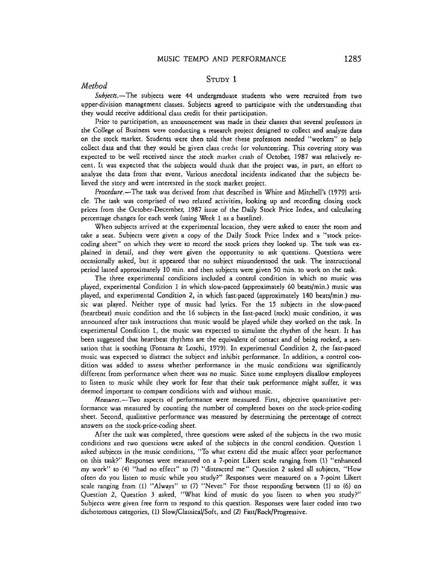### **STUDY** 1

# Method

 $Subiects.$ -The subjects were 44 undergraduate students who were recruited from two upper-division management classes. Subjects agreed to participate with the understanding that they would receive additional dass credit for their participation.

Prior to participation, an announcement was made in their classes that several professors in the College of Business were conducting a research project designed to collect and analyze data on the stock market. Students were then told that these professors needed "workers" to help collect data and that they would be given class credit for volunteering. This covering story was expected to be weU received since the stock market crash of October, 1987 was relatively recent. It was expected that the subjects would think that the project was, in part, an effort to analyze the data from that event. Various anecdotal incidents indicated that the subjects believed the story and were interested in the stock market project.

Procedure.-The task was derived from that described in Whire and Mitchell's (1979) article. The task was comprised of two related activities, looking up and recording closing stock prices from the October-December, 1987 issue of the Daily Stock Price Index, and calculating percentage changes for each week (using Week 1 as a baseline).

When subjects arrived at the experimental location, they were asked to enter the room and take a seat. Subjects were given a copy of the Daily Stock Price Index and a "stock pricecoding sheet" on which they were to record the stock prices they looked up. The task was explained in detail, and they were given the opportunity to ask questions. Questions were occasionally asked, but it appeared that no subject misunderstood the task. The instructional period lasted approximately 10 min. and then subjects were given 50 min. to work on the task.

The three experimental conditions included a control condition in which no music was played, experimental Condition 1 in which slow-paced (approximately 60 beatslmin.) music was played, and experimental Condition 2, in which fast-paced (approximately 140 beats/min.) music was played. Neither type of music had lyrics. For the 15 subjects in the slow-paced (heartbeat) music condition and the 16 subjects in the fast-paced (rock) music condition, it was announced after task instructions chat music would be played while they worked on the cask. In experimental Condition 1, the music was expected to simulate the rhythm of the heart. It has been suggested that heartbeat rhythms are the equivalent of contact and of being rocked, a sensation that is soothing (Fontana & Loschi, 1979). In experimental Condition 2, the fast-paced music was expected to distract the subject and inhibit performance. In addition, a control condition was added to assess whether performance in the music conditions was significantly different from performance when there was no music. Since some employers disallow employees to listen to music while they work for fear that rheir task performance might suffer, it was deemed important to compare conditions with and without music.

Measures.-Two aspects of performance were measured. First, objective quantitative performance was measured by counting the number of completed boxes on the stock-price-coding sheet. Second, qualitative performance was measured by determining the percentage of correct answers on the stock-price-coding sheet.

After the task was completed, three questions were asked of the subjects in the two music conditions and two questions were asked of the subjects in the control condition. Question 1 asked subjects in the music conditions, "To what extent did the music affect your performance on this task?" Responses were measured on a 7-point Likert scale ranging from **(1)** "enhanced my work" to (4) "had no effect" to (7) "distracted me." Question **2** asked aU subjects, "How often do you listen to music while you study?" Responses were measured on a 7-point Likert scale ranging from (1) "Always" to (7) "Never." For those responding between **(1)** to (6) on Question 2, Question 3 asked, "What kind of music do you listen to when you study?" Subjects were given free form to respond to this question. Responses were later coded into two dichotomous categories, (1) Slow/Classical/Soft, and (2) Fast/Rock/Progressive.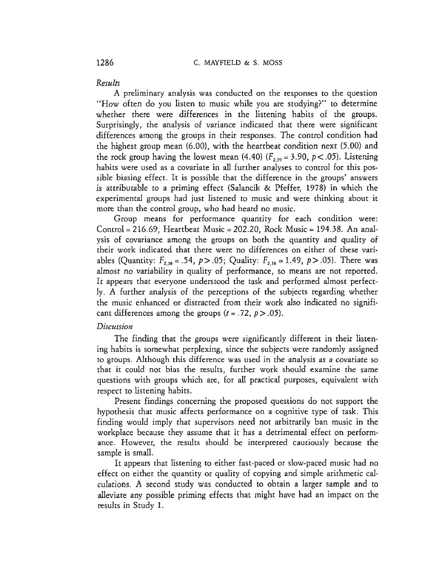# *Results*

A preliminary analysis was conducted on the responses to the question "How often do you listen to music while you are studying?" to determine whether there were differences in the listening habits of the groups. Surprisingly, the analysis of variance indicated that there were significant differences among the groups in their responses. The control condition had the highest group mean (6.00), with the heartbeat condition next (5.00) and the rock group having the lowest mean (4.40)  $(F_{2,39} = 3.90, p < .05)$ . Listening habits were used as a covariate in **all** further analyses to control for this possible biasing effect. It is possible that the difference in the groups' answers is attributable to a priming effect (Salancik & Pfeffer, 1978) in which the experimental groups had just listened to music and were thinking about it more than the control group, who had heard no music.

Group means for performance quantity for each condition were: Control = 216.69, Heartbeat Music = 202.20, Rock Music = 194.38. An analysis of covariance among the groups on both the quantity and quality of their work indicated that there were no differences on either of these variables (Quantity:  $F_{2,38} = .54$ ,  $p > .05$ ; Quality:  $F_{2,38} = 1.49$ ,  $p > .05$ ). There was almost no variability in quality of performance, so means are not reported. It appears that everyone understood the task and performed almost perfectly. A further analysis of the perceptions of the subjects regarding whether the music enhanced or distracted from their work also indicated no significant differences among the groups  $(t = .72, p > .05)$ .

## *Dircursion*

The finding that the groups were significantly different in their listening habits is somewhat perplexing, since the subjects were randomly assigned to groups. Although this difference was used in the analysis as a covariate so that it could not bias the results, further work should examine the same questions with groups which are, for all practical purposes, equivalent with respect to listening habits.

Present findings concerning the proposed questions do not support the hypothesis that music affects performance on a cognitive type of task. This finding would imply that supervisors need not arbitrarily ban music in the workplace because they assume that it has a detrimental effect on performance. However, the results should be interpreted cautiously because the sample is small.

It appears that listening to either fast-paced or slow-paced music had no effect on either the quantity or quality of copying and simple arithmetic calculations. **A** second study was conducted to obtain a larger sample and to alleviate any possible priming effects that might have had an impact on the results in Study 1.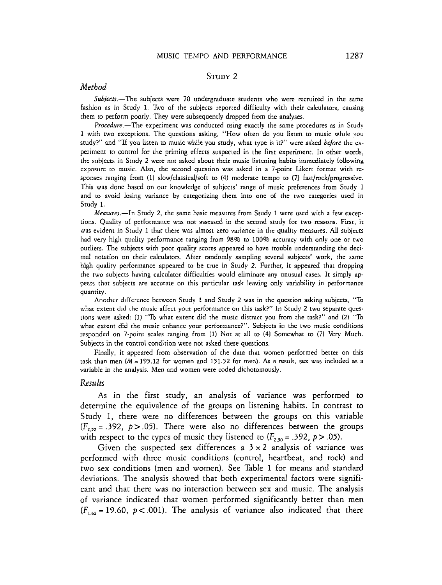#### MUSIC TEMPO AND PERFORMANCE

### **STUDY** 2

# *Method*

 $Subjects. - The subjects were 70 undergraduate students who were recruited in the same$ fashion as in Study 1. Two of the subjects reported difficulty with their calculators, causing them to perform poorly. They were subsequently dropped from the analyses.

Procedure.-The experiment was conducted using exactly the same procedures as in Study 1 with two exceptions. The questions asking, "How often do you listen to music whde you study?" and "If you listen to music while you study, what type is it?" were asked before the experiment to control for the priming effects suspected in the first experiment. In other words, the subjects in Scudy 2 were not asked about their music Listening habits immediately following exposure to music. Also, the second question was asked in a 7-point Likert format with responses ranging from (1) slow/classical/soft to (4) moderate tempo to (7) fast/rock/progressive. This was done based on our knowledge of subjects' range of music preferences from Study 1 and to avoid losing variance by categorizing them into one of the two categories used in Study 1.

Measures.-In Study 2, the same basic measures from Study 1 were used with a few exceptions. Quality of performance was not assessed in the second study for two reasons. First, it was evident in Study 1 that there was almost zero variance in the quality measures. *All* subjects had very high quality performance ranging from 98% to 100% accuracy with only one or two outliers. The subjects with poor quality scores appeared to have trouble understanding the decimal notation on their calculators. After randomly sampling several subjects' work, the same high quality performance appeared to be true in Study 2. Further, it appeared that dropping the two subjects having calculator difficulries would eliminate any unusual cases. It simply appears that subjects are accurate on this particular task leaving only variability in performance quantity.

Another difference between Study 1 and Study 2 was in the question asking subjects, "To what extent did the music affect your performance on this task?" In Study 2 two separate questions were asked: (1) "To what extent did the music distract you from the task?" and (2) "To what extent did the music enhance your performance?". Subjects in the two music conditions responded on 7-point scales ranging from **(1)** Not at all to (4) Somewhat to (7) Very Much. Subjects in the control condition were not asked these questions.

Finally, it appeared from observation of the data that women performed better on this task than men  $(M = 195.12$  for women and 151.52 for men). As a result, sex was included as a variable in the analysis. Men and women were coded dichotomously.

### *Results*

As in the first study, an analysis of variance was performed to determine the equivalence of the groups on listening habits. In contrast to Study 1, there were no differences between the groups on this variable  $(F<sub>2.52</sub> = .392, p > .05)$ . There were also no differences between the groups with respect to the types of music they listened to  $(F_{2,50} = .392, p > .05)$ .

Given the suspected sex differences a  $3 \times 2$  analysis of variance was performed with three music conditions (control, heartbeat, and rock) and two sex conditions (men and women). See Table 1 for means and standard deviations. The analysis showed that both experimental factors were significant and that there was no interaction between sex and music. The analysis of variance indicated that women performed significantly better than men  $(F<sub>1.62</sub> = 19.60, p < .001)$ . The analysis of variance also indicated that there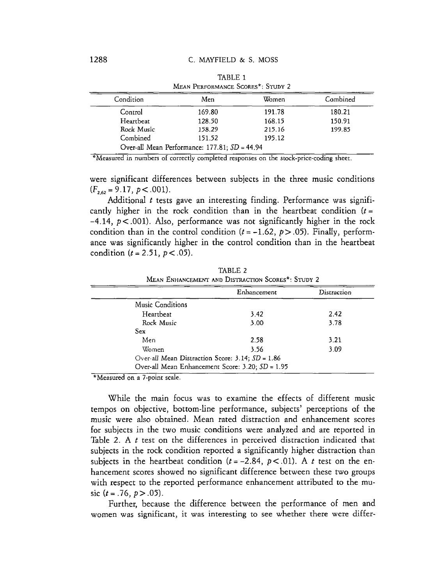| Condition  | Men    | Women  | Combined |
|------------|--------|--------|----------|
| Control    | 169.80 | 191.78 | 180.21   |
| Heartbeat  | 128.50 | 168.15 | 150.91   |
| Rock Music | 158.29 | 215.16 | 199.85   |
| Combined   | 151.52 | 195.12 |          |

TABLE 1 MEAN PERFORMANCE SCORES\*: STUDY 2

\*Measured in numbers of correctly completed responses on the stock-price-coding sheer.

were significant differences between subjects in the three music conditions  $(F_{2,62} = 9.17, p < .001)$ .

Additional *t* tests gave an interesting finding. Performance was significantly higher in the rock condition than in the heartbeat condition  $(t =$  $-4.14$ ,  $p < .001$ ). Also, performance was not significantly higher in the rock condition than in the control condition  $(t = -1.62, p > .05)$ . Finally, performance was significantly higher in the control condition than in the heartbeat condition  $(t = 2.51, p < .05)$ .

|                                                    | Enhancement                                      | Distraction |
|----------------------------------------------------|--------------------------------------------------|-------------|
| Music Conditions                                   |                                                  |             |
| Heartbeat                                          | 3.42                                             | 242         |
| Rock Music                                         | 3.00                                             | 3.78        |
| Sex                                                |                                                  |             |
| Men                                                | 2.58                                             | 3.21        |
| Women                                              | 3.56                                             | 3.09        |
| Over-all Mean Distraction Score: 3.14; $SD = 1.86$ |                                                  |             |
|                                                    | Over-all Mean Enhancement Score: 3.20; SD = 1.95 |             |

TABLE 2

\*Measured on a 7-point scale.

While the main focus was to examine the effects of different music tempos on objective, bottom-line performance, subjects' perceptions of the music were also obtained. Mean rated distraction and enhancement scores for subjects in the two music conditions were analyzed and are reported in Table 2. A  $t$  test on the differences in perceived distraction indicated that subjects in the rock condition reported a significantly higher distraction than subjects in the heartbeat condition  $(t = -2.84, p < .01)$ . A *t* test on the enhancement scores showed no significant difference between these two groups with respect to the reported performance enhancement attributed to the music  $(t = .76, p > .05)$ .

Further, because the difference between the performance of men and women was significant, it was interesting to see whether there were differ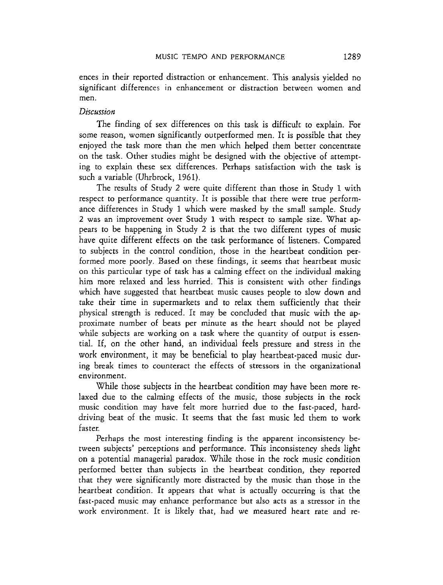ences in their reported distraction or enhancement. This analysis yielded no significant differences in enhancement or distraction between women and men.

# *Discussion*

The finding of sex differences on this task is difficult to explain. For some reason, women significantly outperformed men. It is possible that they enjoyed the task more than the men which helped them better concentrate on the task. Other studies might be designed with the objective of attempting to explain these sex differences. Perhaps satisfaction with the task is such a variable (Uhrbrock, 1961).

The results of Study 2 were quite different than those in Study 1 with respect to performance quantity. It is possible that there were true performance differences in Study 1 which were masked by the small sample. Study 2 was an improvement over Study **1** with respect to sample size. 'What appears to be happening in Study 2 is that the two different types of music have quite different effects on the task performance of listeners. Compared to subjects in the control condition, those in the heartbeat condition performed more poorly. Based on these findings, it seems that heartbeat music on this particular type of task has a calming effect on the individual making him more relaxed and less hurried. This is consistent with other findings which have suggested that heartbeat music causes people to slow down and take their time in supermarkets and to relax them sufficiently that their physical strength is reduced. It may be concluded that music with the approximate number of beats per minute as the heart should not be played while subjects are working on a task where the quantity of output is essential. If, on the other hand, an individual feels pressure and stress in rhe work environment, it may be beneficial to play heartbeat-paced music during break times to counteract the effects of stressors in the organizational environment.

While those subjects in the heartbeat condition may have been more relaxed due to the calming effects of the music, those subjects in the rock music condition may have felt more hurried due to the fast-paced, harddriving beat of the music. It seems that the fast music led them to work faster.

Perhaps the most interesting finding is the apparent inconsistency between subjects' perceptions and performance. This inconsistency sheds light on a potential managerial paradox. While those in the rock music condition performed better than subjects in the heartbeat condition, they reported that they were significantly more distracted by the music than those in the heartbeat condition. It appears that what is actually occurring is that the fast-paced music may enhance performance but also acts as a stressor in the work environment. It is likely that, had we measured heart rate and re